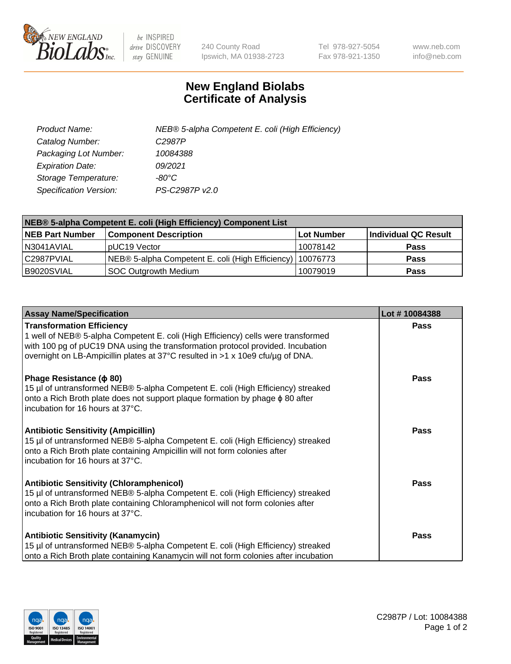

 $be$  INSPIRED drive DISCOVERY stay GENUINE

240 County Road Ipswich, MA 01938-2723 Tel 978-927-5054 Fax 978-921-1350 www.neb.com info@neb.com

## **New England Biolabs Certificate of Analysis**

| Product Name:                 | NEB® 5-alpha Competent E. coli (High Efficiency) |
|-------------------------------|--------------------------------------------------|
| Catalog Number:               | C <sub>2987</sub> P                              |
| Packaging Lot Number:         | 10084388                                         |
| <b>Expiration Date:</b>       | 09/2021                                          |
| Storage Temperature:          | -80°C                                            |
| <b>Specification Version:</b> | PS-C2987P v2.0                                   |

| NEB® 5-alpha Competent E. coli (High Efficiency) Component List |                                                             |            |                      |  |
|-----------------------------------------------------------------|-------------------------------------------------------------|------------|----------------------|--|
| <b>NEB Part Number</b>                                          | <b>Component Description</b>                                | Lot Number | Individual QC Result |  |
| N3041AVIAL                                                      | pUC19 Vector                                                | 10078142   | <b>Pass</b>          |  |
| C2987PVIAL                                                      | NEB® 5-alpha Competent E. coli (High Efficiency)   10076773 |            | <b>Pass</b>          |  |
| B9020SVIAL                                                      | <b>SOC Outgrowth Medium</b>                                 | 10079019   | <b>Pass</b>          |  |

| <b>Assay Name/Specification</b>                                                                                                                                                                                                                                                            | Lot #10084388 |
|--------------------------------------------------------------------------------------------------------------------------------------------------------------------------------------------------------------------------------------------------------------------------------------------|---------------|
| <b>Transformation Efficiency</b><br>1 well of NEB® 5-alpha Competent E. coli (High Efficiency) cells were transformed<br>with 100 pg of pUC19 DNA using the transformation protocol provided. Incubation<br>overnight on LB-Ampicillin plates at 37°C resulted in >1 x 10e9 cfu/µg of DNA. | Pass          |
| Phage Resistance ( $\phi$ 80)<br>15 µl of untransformed NEB® 5-alpha Competent E. coli (High Efficiency) streaked<br>onto a Rich Broth plate does not support plaque formation by phage $\phi$ 80 after<br>incubation for 16 hours at 37°C.                                                | Pass          |
| <b>Antibiotic Sensitivity (Ampicillin)</b><br>15 µl of untransformed NEB® 5-alpha Competent E. coli (High Efficiency) streaked<br>onto a Rich Broth plate containing Ampicillin will not form colonies after<br>incubation for 16 hours at 37°C.                                           | Pass          |
| <b>Antibiotic Sensitivity (Chloramphenicol)</b><br>15 µl of untransformed NEB® 5-alpha Competent E. coli (High Efficiency) streaked<br>onto a Rich Broth plate containing Chloramphenicol will not form colonies after<br>incubation for 16 hours at 37°C.                                 | <b>Pass</b>   |
| <b>Antibiotic Sensitivity (Kanamycin)</b><br>15 µl of untransformed NEB® 5-alpha Competent E. coli (High Efficiency) streaked<br>onto a Rich Broth plate containing Kanamycin will not form colonies after incubation                                                                      | Pass          |